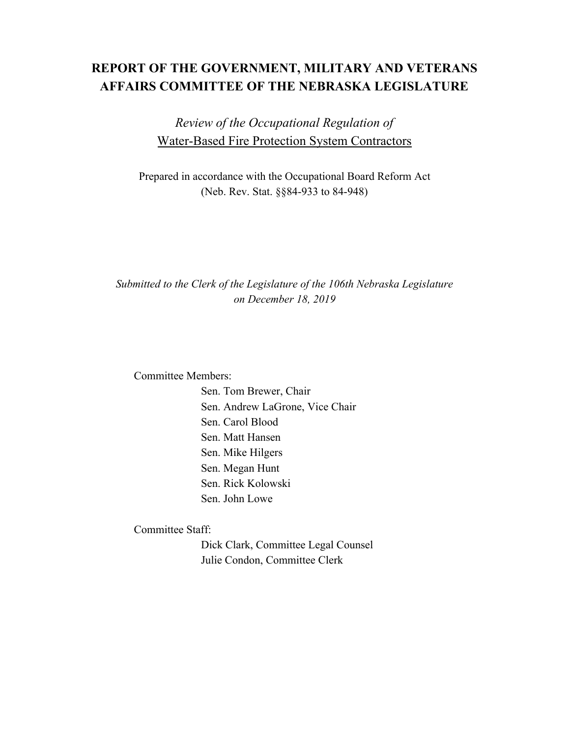# **REPORT OF THE GOVERNMENT, MILITARY AND VETERANS AFFAIRS COMMITTEE OF THE NEBRASKA LEGISLATURE**

*Review of the Occupational Regulation of* Water-Based Fire Protection System Contractors

Prepared in accordance with the Occupational Board Reform Act (Neb. Rev. Stat. §§84-933 to 84-948)

*Submitted to the Clerk of the Legislature of the 106th Nebraska Legislature on December 18, 2019*

Committee Members:

Sen. Tom Brewer, Chair Sen. Andrew LaGrone, Vice Chair Sen. Carol Blood Sen. Matt Hansen Sen. Mike Hilgers Sen. Megan Hunt Sen. Rick Kolowski Sen. John Lowe

Committee Staff:

Dick Clark, Committee Legal Counsel Julie Condon, Committee Clerk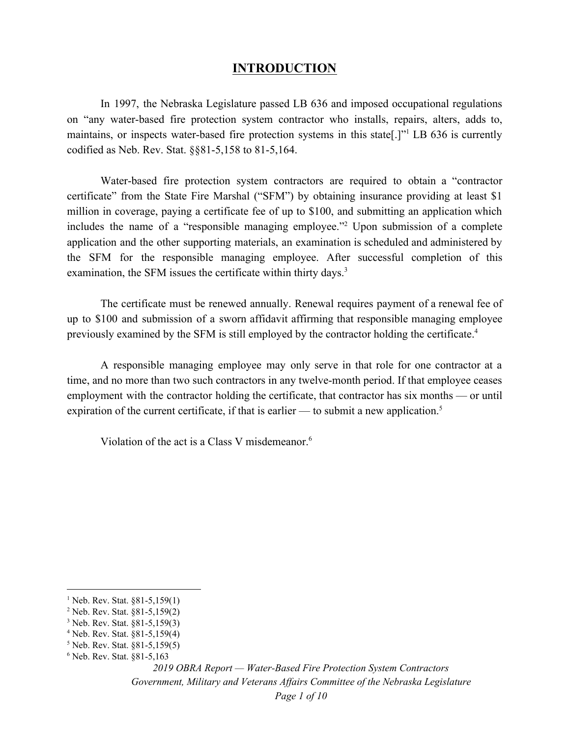## **INTRODUCTION**

In 1997, the Nebraska Legislature passed LB 636 and imposed occupational regulations on "any water-based fire protection system contractor who installs, repairs, alters, adds to, maintains, or inspects water-based fire protection systems in this state.<sup>[1]'1</sup> LB 636 is currently codified as Neb. Rev. Stat. §§81-5,158 to 81-5,164.

Water-based fire protection system contractors are required to obtain a "contractor certificate" from the State Fire Marshal ("SFM") by obtaining insurance providing at least \$1 million in coverage, paying a certificate fee of up to \$100, and submitting an application which includes the name of a "responsible managing employee."<sup>2</sup> Upon submission of a complete application and the other supporting materials, an examination is scheduled and administered by the SFM for the responsible managing employee. After successful completion of this examination, the SFM issues the certificate within thirty days.<sup>3</sup>

The certificate must be renewed annually. Renewal requires payment of a renewal fee of up to \$100 and submission of a sworn affidavit affirming that responsible managing employee previously examined by the SFM is still employed by the contractor holding the certificate.<sup>4</sup>

A responsible managing employee may only serve in that role for one contractor at a time, and no more than two such contractors in any twelve-month period. If that employee ceases employment with the contractor holding the certificate, that contractor has six months — or until expiration of the current certificate, if that is earlier — to submit a new application.<sup>5</sup>

Violation of the act is a Class V misdemeanor.<sup>6</sup>

 $1$  Neb. Rev. Stat. §81-5,159(1)

<sup>2</sup> Neb. Rev. Stat. §81-5,159(2)

<sup>3</sup> Neb. Rev. Stat. §81-5,159(3)

<sup>4</sup> Neb. Rev. Stat. §81-5,159(4)

<sup>5</sup> Neb. Rev. Stat. §81-5,159(5) <sup>6</sup> Neb. Rev. Stat. §81-5,163

*<sup>2019</sup> OBRA Report — Water-Based Fire Protection System Contractors Government, Military and Veterans Af airs Committee of the Nebraska Legislature Page 1 of 10*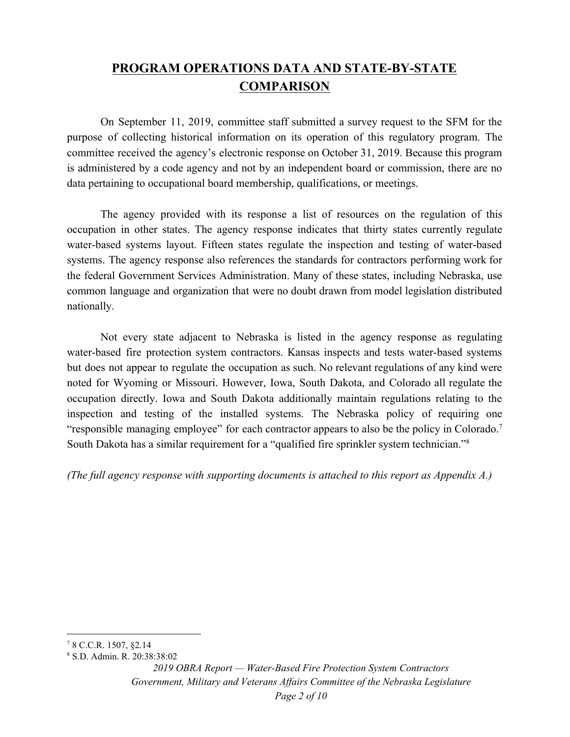# **PROGRAM OPERATIONS DATA AND STATE-BY-STATE COMPARISON**

On September 11, 2019, committee staff submitted a survey request to the SFM for the purpose of collecting historical information on its operation of this regulatory program. The committee received the agency's electronic response on October 31, 2019. Because this program is administered by a code agency and not by an independent board or commission, there are no data pertaining to occupational board membership, qualifications, or meetings.

The agency provided with its response a list of resources on the regulation of this occupation in other states. The agency response indicates that thirty states currently regulate water-based systems layout. Fifteen states regulate the inspection and testing of water-based systems. The agency response also references the standards for contractors performing work for the federal Government Services Administration. Many of these states, including Nebraska, use common language and organization that were no doubt drawn from model legislation distributed nationally.

Not every state adjacent to Nebraska is listed in the agency response as regulating water-based fire protection system contractors. Kansas inspects and tests water-based systems but does not appear to regulate the occupation as such. No relevant regulations of any kind were noted for Wyoming or Missouri. However, Iowa, South Dakota, and Colorado all regulate the occupation directly. Iowa and South Dakota additionally maintain regulations relating to the inspection and testing of the installed systems. The Nebraska policy of requiring one "responsible managing employee" for each contractor appears to also be the policy in Colorado.<sup>7</sup> South Dakota has a similar requirement for a "qualified fire sprinkler system technician."<sup>8</sup>

*(The full agency response with supporting documents is attached to this report as Appendix A.)*

<sup>7</sup> 8 C.C.R. 1507, §2.14

<sup>8</sup> S.D. Admin. R. 20:38:38:02

*<sup>2019</sup> OBRA Report — Water-Based Fire Protection System Contractors Government, Military and Veterans Af airs Committee of the Nebraska Legislature Page 2 of 10*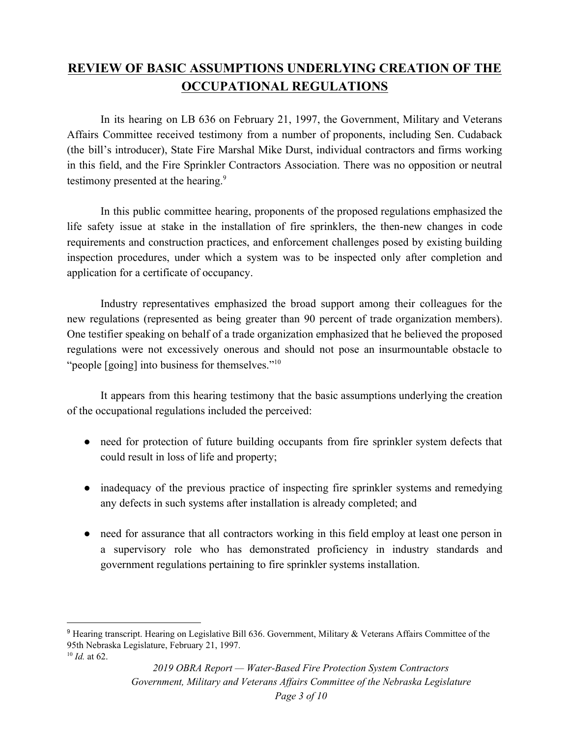# **REVIEW OF BASIC ASSUMPTIONS UNDERLYING CREATION OF THE OCCUPATIONAL REGULATIONS**

In its hearing on LB 636 on February 21, 1997, the Government, Military and Veterans Affairs Committee received testimony from a number of proponents, including Sen. Cudaback (the bill's introducer), State Fire Marshal Mike Durst, individual contractors and firms working in this field, and the Fire Sprinkler Contractors Association. There was no opposition or neutral testimony presented at the hearing.<sup>9</sup>

In this public committee hearing, proponents of the proposed regulations emphasized the life safety issue at stake in the installation of fire sprinklers, the then-new changes in code requirements and construction practices, and enforcement challenges posed by existing building inspection procedures, under which a system was to be inspected only after completion and application for a certificate of occupancy.

Industry representatives emphasized the broad support among their colleagues for the new regulations (represented as being greater than 90 percent of trade organization members). One testifier speaking on behalf of a trade organization emphasized that he believed the proposed regulations were not excessively onerous and should not pose an insurmountable obstacle to "people [going] into business for themselves."<sup>10</sup>

It appears from this hearing testimony that the basic assumptions underlying the creation of the occupational regulations included the perceived:

- need for protection of future building occupants from fire sprinkler system defects that could result in loss of life and property;
- inadequacy of the previous practice of inspecting fire sprinkler systems and remedying any defects in such systems after installation is already completed; and
- need for assurance that all contractors working in this field employ at least one person in a supervisory role who has demonstrated proficiency in industry standards and government regulations pertaining to fire sprinkler systems installation.

<sup>9</sup> Hearing transcript. Hearing on Legislative Bill 636. Government, Military & Veterans Affairs Committee of the 95th Nebraska Legislature, February 21, 1997.

<sup>10</sup> *Id.* at 62.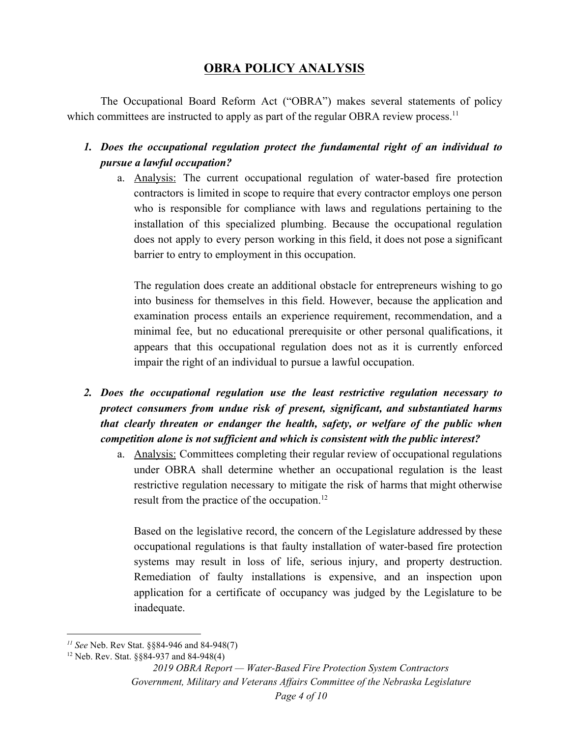## **OBRA POLICY ANALYSIS**

The Occupational Board Reform Act ("OBRA") makes several statements of policy which committees are instructed to apply as part of the regular OBRA review process.<sup>11</sup>

- *1. Does the occupational regulation protect the fundamental right of an individual to pursue a lawful occupation?*
	- a. Analysis: The current occupational regulation of water-based fire protection contractors is limited in scope to require that every contractor employs one person who is responsible for compliance with laws and regulations pertaining to the installation of this specialized plumbing. Because the occupational regulation does not apply to every person working in this field, it does not pose a significant barrier to entry to employment in this occupation.

The regulation does create an additional obstacle for entrepreneurs wishing to go into business for themselves in this field. However, because the application and examination process entails an experience requirement, recommendation, and a minimal fee, but no educational prerequisite or other personal qualifications, it appears that this occupational regulation does not as it is currently enforced impair the right of an individual to pursue a lawful occupation.

- *2. Does the occupational regulation use the least restrictive regulation necessary to protect consumers from undue risk of present, significant, and substantiated harms that clearly threaten or endanger the health, safety, or welfare of the public when competition alone is not sufficient and which is consistent with the public interest?*
	- a. Analysis: Committees completing their regular review of occupational regulations under OBRA shall determine whether an occupational regulation is the least restrictive regulation necessary to mitigate the risk of harms that might otherwise result from the practice of the occupation.<sup>12</sup>

Based on the legislative record, the concern of the Legislature addressed by these occupational regulations is that faulty installation of water-based fire protection systems may result in loss of life, serious injury, and property destruction. Remediation of faulty installations is expensive, and an inspection upon application for a certificate of occupancy was judged by the Legislature to be inadequate.

*<sup>11</sup> See* Neb. Rev Stat. §§84-946 and 84-948(7)

<sup>12</sup> Neb. Rev. Stat. §§84-937 and 84-948(4)

*<sup>2019</sup> OBRA Report — Water-Based Fire Protection System Contractors Government, Military and Veterans Af airs Committee of the Nebraska Legislature Page 4 of 10*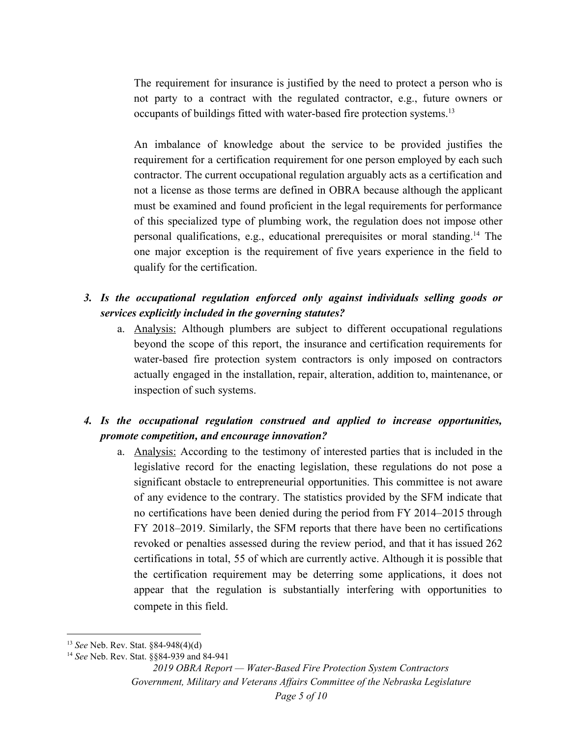The requirement for insurance is justified by the need to protect a person who is not party to a contract with the regulated contractor, e.g., future owners or occupants of buildings fitted with water-based fire protection systems.<sup>13</sup>

An imbalance of knowledge about the service to be provided justifies the requirement for a certification requirement for one person employed by each such contractor. The current occupational regulation arguably acts as a certification and not a license as those terms are defined in OBRA because although the applicant must be examined and found proficient in the legal requirements for performance of this specialized type of plumbing work, the regulation does not impose other personal qualifications, e.g., educational prerequisites or moral standing.<sup>14</sup> The one major exception is the requirement of five years experience in the field to qualify for the certification.

## *3. Is the occupational regulation enforced only against individuals selling goods or services explicitly included in the governing statutes?*

a. Analysis: Although plumbers are subject to different occupational regulations beyond the scope of this report, the insurance and certification requirements for water-based fire protection system contractors is only imposed on contractors actually engaged in the installation, repair, alteration, addition to, maintenance, or inspection of such systems.

## *4. Is the occupational regulation construed and applied to increase opportunities, promote competition, and encourage innovation?*

a. Analysis: According to the testimony of interested parties that is included in the legislative record for the enacting legislation, these regulations do not pose a significant obstacle to entrepreneurial opportunities. This committee is not aware of any evidence to the contrary. The statistics provided by the SFM indicate that no certifications have been denied during the period from FY 2014–2015 through FY 2018–2019. Similarly, the SFM reports that there have been no certifications revoked or penalties assessed during the review period, and that it has issued 262 certifications in total, 55 of which are currently active. Although it is possible that the certification requirement may be deterring some applications, it does not appear that the regulation is substantially interfering with opportunities to compete in this field.

<sup>13</sup> *See* Neb. Rev. Stat. §84-948(4)(d)

<sup>14</sup> *See* Neb. Rev. Stat. §§84-939 and 84-941

*<sup>2019</sup> OBRA Report — Water-Based Fire Protection System Contractors Government, Military and Veterans Af airs Committee of the Nebraska Legislature*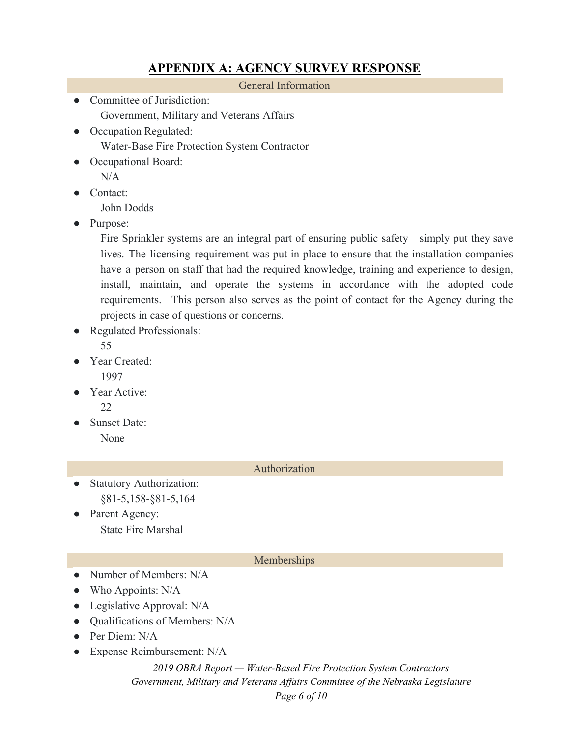## **APPENDIX A: AGENCY SURVEY RESPONSE**

General Information

- Committee of Jurisdiction: Government, Military and Veterans Affairs
- Occupation Regulated: Water-Base Fire Protection System Contractor
- Occupational Board:

 $N/A$ 

Contact:

John Dodds

● Purpose:

Fire Sprinkler systems are an integral part of ensuring public safety—simply put they save lives. The licensing requirement was put in place to ensure that the installation companies have a person on staff that had the required knowledge, training and experience to design, install, maintain, and operate the systems in accordance with the adopted code requirements. This person also serves as the point of contact for the Agency during the projects in case of questions or concerns.

Regulated Professionals:

55

- Year Created: 1997
- Year Active: 22
- Sunset Date: None

#### Authorization

- **Statutory Authorization:** §81-5,158-§81-5,164
- Parent Agency: State Fire Marshal

### Memberships

- Number of Members: N/A
- Who Appoints: N/A
- Legislative Approval: N/A
- Oualifications of Members: N/A
- $\bullet$  Per Diem: N/A
- Expense Reimbursement: N/A

*2019 OBRA Report — Water-Based Fire Protection System Contractors Government, Military and Veterans Af airs Committee of the Nebraska Legislature Page 6 of 10*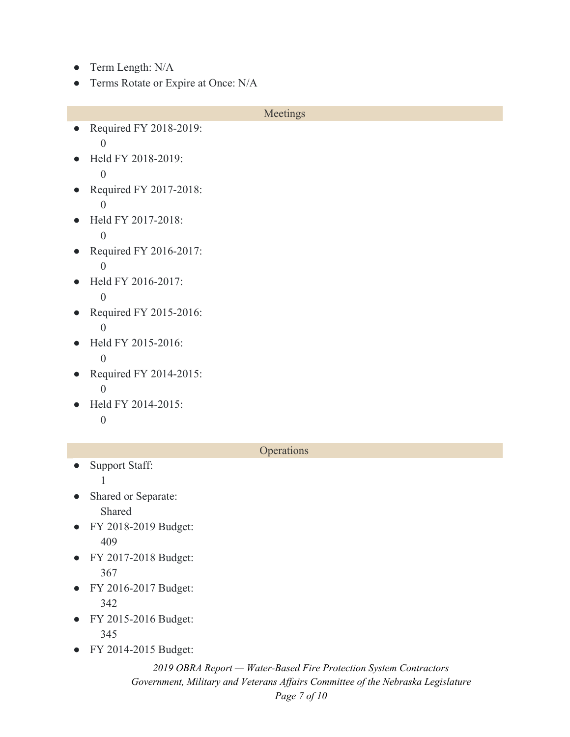- Term Length: N/A
- Terms Rotate or Expire at Once: N/A

#### Meetings

- Required FY 2018-2019: 0
- Held FY 2018-2019: 0
- Required FY 2017-2018: 0
- Held FY 2017-2018: 0
- Required FY 2016-2017: 0
- Held FY 2016-2017: 0
- Required FY 2015-2016: 0
- Held FY 2015-2016: 0
- Required FY 2014-2015: 0
- Held FY 2014-2015: 0

#### **Operations**

- Support Staff:
	- 1
- Shared or Separate: Shared
- FY 2018-2019 Budget: 409
- FY 2017-2018 Budget: 367
- FY 2016-2017 Budget: 342
- FY 2015-2016 Budget: 345
- FY 2014-2015 Budget:

### *2019 OBRA Report — Water-Based Fire Protection System Contractors Government, Military and Veterans Af airs Committee of the Nebraska Legislature Page 7 of 10*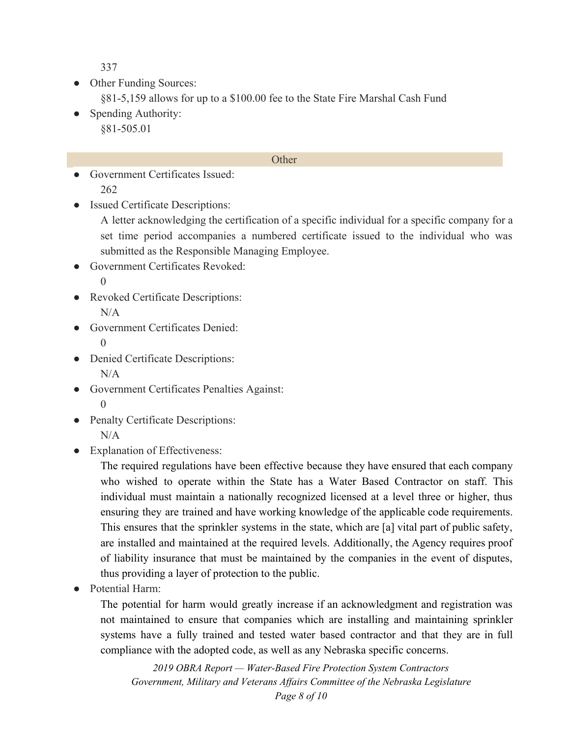337

- Other Funding Sources:
	- §81-5,159 allows for up to a \$100.00 fee to the State Fire Marshal Cash Fund
- Spending Authority: §81-505.01

#### **Other**

- Government Certificates Issued: 262
- **Issued Certificate Descriptions:**

A letter acknowledging the certification of a specific individual for a specific company for a set time period accompanies a numbered certificate issued to the individual who was submitted as the Responsible Managing Employee.

- Government Certificates Revoked:  $\Omega$
- Revoked Certificate Descriptions:  $N/A$
- Government Certificates Denied:  $\theta$
- Denied Certificate Descriptions: N/A
- Government Certificates Penalties Against: 0
- Penalty Certificate Descriptions: N/A
- Explanation of Effectiveness:

The required regulations have been effective because they have ensured that each company who wished to operate within the State has a Water Based Contractor on staff. This individual must maintain a nationally recognized licensed at a level three or higher, thus ensuring they are trained and have working knowledge of the applicable code requirements. This ensures that the sprinkler systems in the state, which are [a] vital part of public safety, are installed and maintained at the required levels. Additionally, the Agency requires proof of liability insurance that must be maintained by the companies in the event of disputes, thus providing a layer of protection to the public.

● Potential Harm:

The potential for harm would greatly increase if an acknowledgment and registration was not maintained to ensure that companies which are installing and maintaining sprinkler systems have a fully trained and tested water based contractor and that they are in full compliance with the adopted code, as well as any Nebraska specific concerns.

*2019 OBRA Report — Water-Based Fire Protection System Contractors Government, Military and Veterans Af airs Committee of the Nebraska Legislature Page 8 of 10*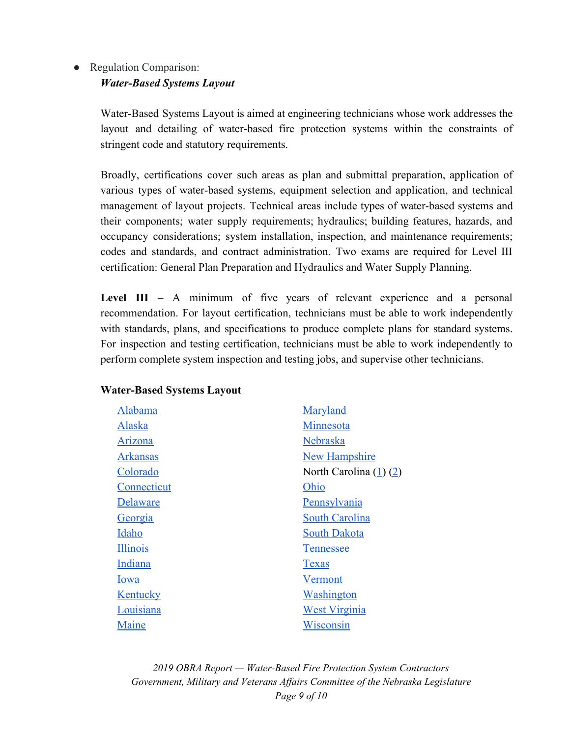### • Regulation Comparison: *Water-Based Systems Layout*

Water-Based Systems Layout is aimed at engineering technicians whose work addresses the layout and detailing of water-based fire protection systems within the constraints of stringent code and statutory requirements.

Broadly, certifications cover such areas as plan and submittal preparation, application of various types of water-based systems, equipment selection and application, and technical management of layout projects. Technical areas include types of water-based systems and their components; water supply requirements; hydraulics; building features, hazards, and occupancy considerations; system installation, inspection, and maintenance requirements; codes and standards, and contract administration. Two exams are required for Level III certification: General Plan Preparation and Hydraulics and Water Supply Planning.

**Level III** – A minimum of five years of relevant experience and a personal recommendation. For layout certification, technicians must be able to work independently with standards, plans, and specifications to produce complete plans for standard systems. For inspection and testing certification, technicians must be able to work independently to perform complete system inspection and testing jobs, and supervise other technicians.

| Alabama         | Maryland                   |
|-----------------|----------------------------|
| Alaska          | Minnesota                  |
| Arizona         | Nebraska                   |
| <u>Arkansas</u> | <b>New Hampshire</b>       |
| Colorado        | North Carolina $(1)$ $(2)$ |
| Connecticut     | Ohio                       |
| Delaware        | Pennsylvania               |
| <u>Georgia</u>  | <b>South Carolina</b>      |
| Idaho           | <b>South Dakota</b>        |
| <b>Illinois</b> | <b>Tennessee</b>           |
| Indiana         | <b>T</b> exas              |
| Iowa            | Vermont                    |
| <b>Kentucky</b> | Washington                 |
| Louisiana       | <b>West Virginia</b>       |
| Maine           | Wisconsin                  |

### **Water-Based Systems Layout**

*2019 OBRA Report — Water-Based Fire Protection System Contractors Government, Military and Veterans Af airs Committee of the Nebraska Legislature Page 9 of 10*